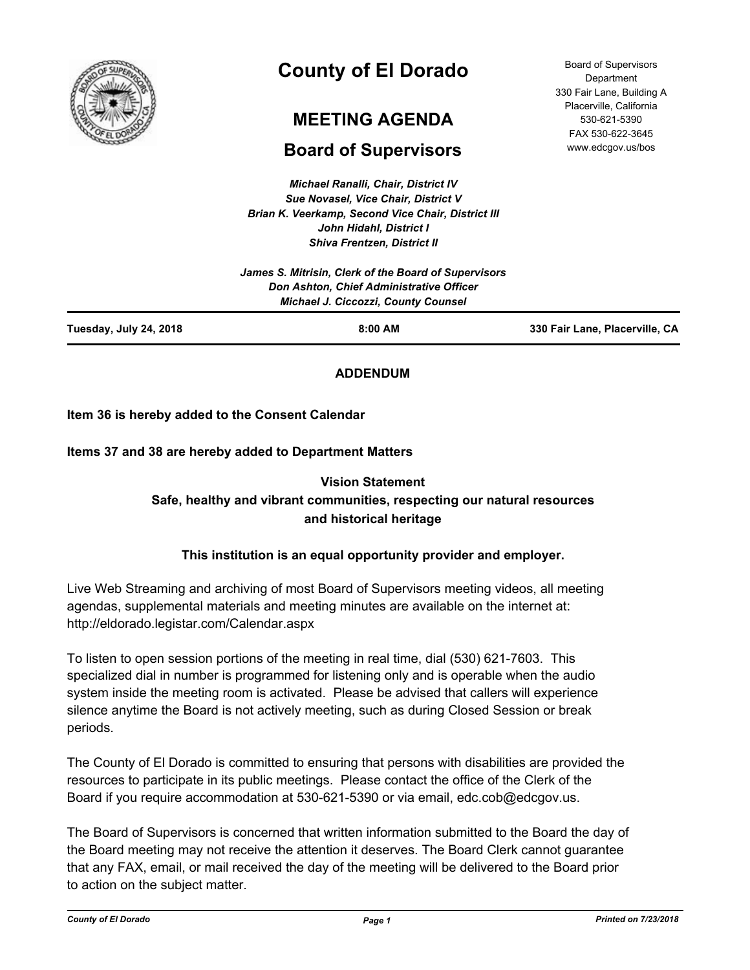

# **County of El Dorado**

# **MEETING AGENDA**

## **Board of Supervisors**

*Michael Ranalli, Chair, District IV Sue Novasel, Vice Chair, District V Brian K. Veerkamp, Second Vice Chair, District III John Hidahl, District I Shiva Frentzen, District II*

| Tuesday, July 24, 2018<br>$8:00$ AM                                                                                                            | 330 Fair Lane, Placerville, CA |
|------------------------------------------------------------------------------------------------------------------------------------------------|--------------------------------|
| James S. Mitrisin, Clerk of the Board of Supervisors<br>Don Ashton, Chief Administrative Officer<br><b>Michael J. Ciccozzi, County Counsel</b> |                                |

## **ADDENDUM**

### **Item 36 is hereby added to the Consent Calendar**

**Items 37 and 38 are hereby added to Department Matters**

## **Vision Statement Safe, healthy and vibrant communities, respecting our natural resources and historical heritage**

## **This institution is an equal opportunity provider and employer.**

Live Web Streaming and archiving of most Board of Supervisors meeting videos, all meeting agendas, supplemental materials and meeting minutes are available on the internet at: http://eldorado.legistar.com/Calendar.aspx

To listen to open session portions of the meeting in real time, dial (530) 621-7603. This specialized dial in number is programmed for listening only and is operable when the audio system inside the meeting room is activated. Please be advised that callers will experience silence anytime the Board is not actively meeting, such as during Closed Session or break periods.

The County of El Dorado is committed to ensuring that persons with disabilities are provided the resources to participate in its public meetings. Please contact the office of the Clerk of the Board if you require accommodation at 530-621-5390 or via email, edc.cob@edcgov.us.

The Board of Supervisors is concerned that written information submitted to the Board the day of the Board meeting may not receive the attention it deserves. The Board Clerk cannot guarantee that any FAX, email, or mail received the day of the meeting will be delivered to the Board prior to action on the subject matter.

Board of Supervisors Department 330 Fair Lane, Building A Placerville, California 530-621-5390 FAX 530-622-3645 www.edcgov.us/bos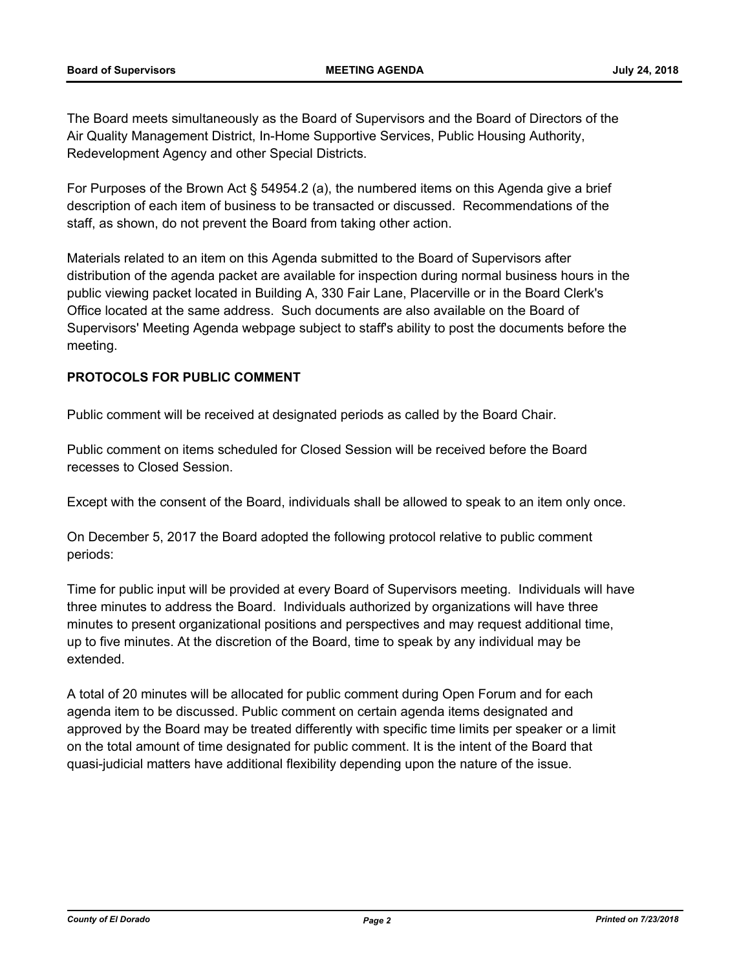The Board meets simultaneously as the Board of Supervisors and the Board of Directors of the Air Quality Management District, In-Home Supportive Services, Public Housing Authority, Redevelopment Agency and other Special Districts.

For Purposes of the Brown Act § 54954.2 (a), the numbered items on this Agenda give a brief description of each item of business to be transacted or discussed. Recommendations of the staff, as shown, do not prevent the Board from taking other action.

Materials related to an item on this Agenda submitted to the Board of Supervisors after distribution of the agenda packet are available for inspection during normal business hours in the public viewing packet located in Building A, 330 Fair Lane, Placerville or in the Board Clerk's Office located at the same address. Such documents are also available on the Board of Supervisors' Meeting Agenda webpage subject to staff's ability to post the documents before the meeting.

### **PROTOCOLS FOR PUBLIC COMMENT**

Public comment will be received at designated periods as called by the Board Chair.

Public comment on items scheduled for Closed Session will be received before the Board recesses to Closed Session.

Except with the consent of the Board, individuals shall be allowed to speak to an item only once.

On December 5, 2017 the Board adopted the following protocol relative to public comment periods:

Time for public input will be provided at every Board of Supervisors meeting. Individuals will have three minutes to address the Board. Individuals authorized by organizations will have three minutes to present organizational positions and perspectives and may request additional time, up to five minutes. At the discretion of the Board, time to speak by any individual may be extended.

A total of 20 minutes will be allocated for public comment during Open Forum and for each agenda item to be discussed. Public comment on certain agenda items designated and approved by the Board may be treated differently with specific time limits per speaker or a limit on the total amount of time designated for public comment. It is the intent of the Board that quasi-judicial matters have additional flexibility depending upon the nature of the issue.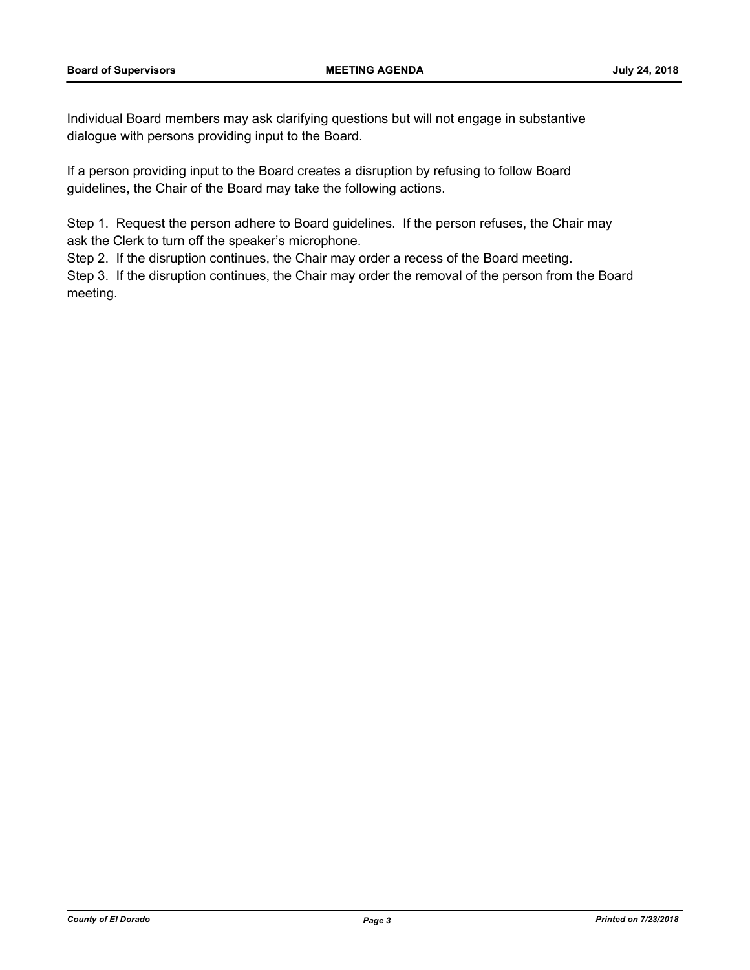Individual Board members may ask clarifying questions but will not engage in substantive dialogue with persons providing input to the Board.

If a person providing input to the Board creates a disruption by refusing to follow Board guidelines, the Chair of the Board may take the following actions.

Step 1. Request the person adhere to Board guidelines. If the person refuses, the Chair may ask the Clerk to turn off the speaker's microphone.

Step 2. If the disruption continues, the Chair may order a recess of the Board meeting.

Step 3. If the disruption continues, the Chair may order the removal of the person from the Board meeting.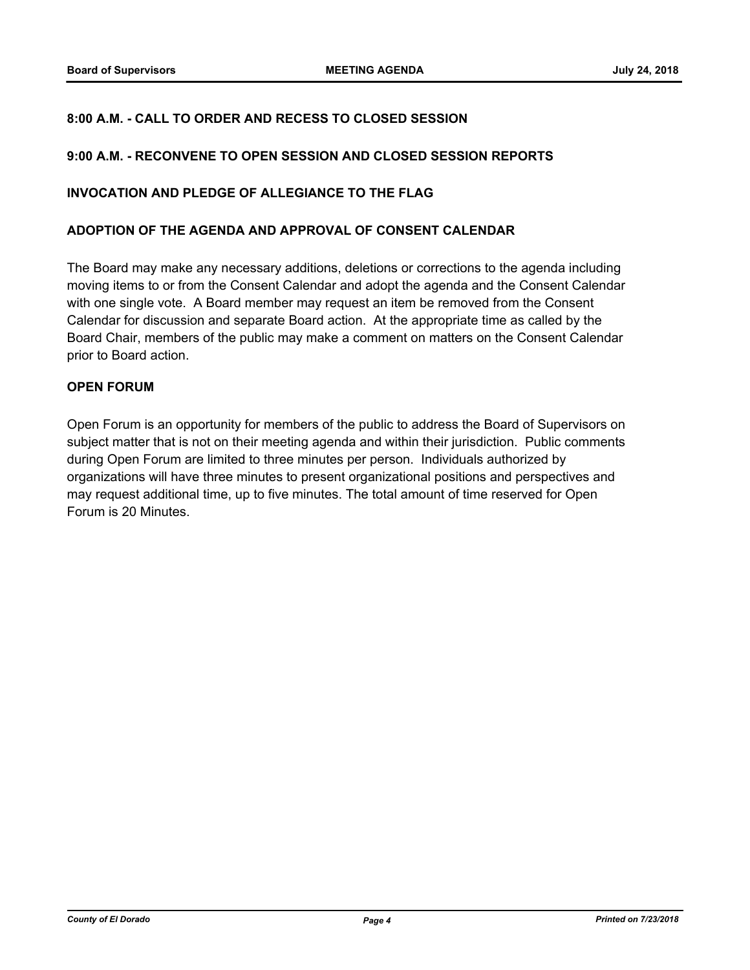### **8:00 A.M. - CALL TO ORDER AND RECESS TO CLOSED SESSION**

#### **9:00 A.M. - RECONVENE TO OPEN SESSION AND CLOSED SESSION REPORTS**

#### **INVOCATION AND PLEDGE OF ALLEGIANCE TO THE FLAG**

#### **ADOPTION OF THE AGENDA AND APPROVAL OF CONSENT CALENDAR**

The Board may make any necessary additions, deletions or corrections to the agenda including moving items to or from the Consent Calendar and adopt the agenda and the Consent Calendar with one single vote. A Board member may request an item be removed from the Consent Calendar for discussion and separate Board action. At the appropriate time as called by the Board Chair, members of the public may make a comment on matters on the Consent Calendar prior to Board action.

#### **OPEN FORUM**

Open Forum is an opportunity for members of the public to address the Board of Supervisors on subject matter that is not on their meeting agenda and within their jurisdiction. Public comments during Open Forum are limited to three minutes per person. Individuals authorized by organizations will have three minutes to present organizational positions and perspectives and may request additional time, up to five minutes. The total amount of time reserved for Open Forum is 20 Minutes.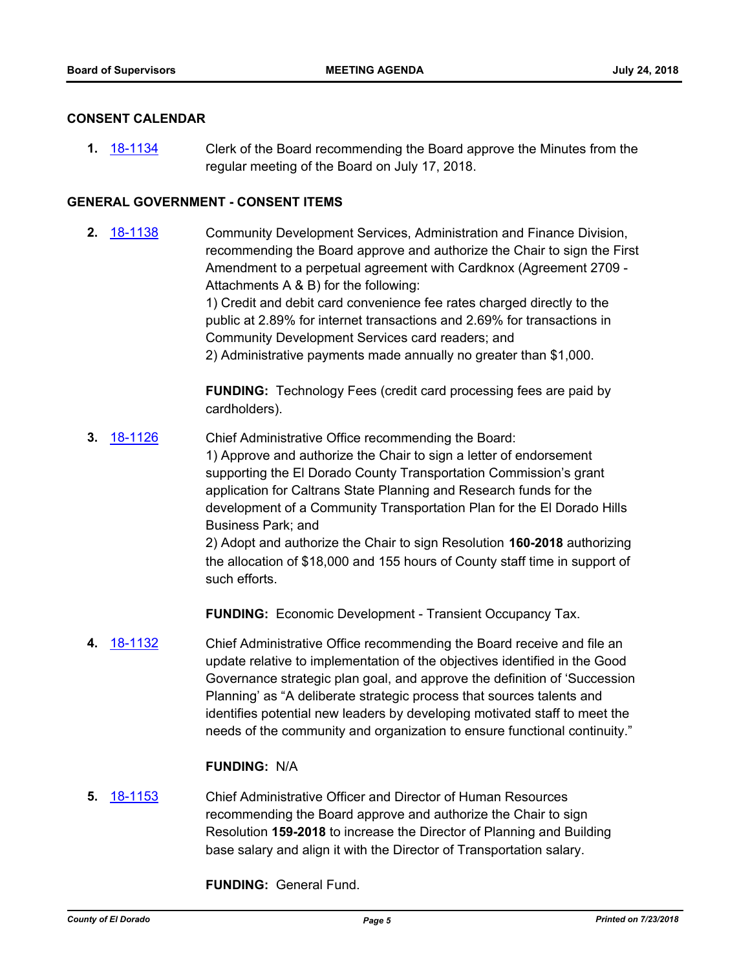#### **CONSENT CALENDAR**

**1.** [18-1134](http://eldorado.legistar.com/gateway.aspx?m=l&id=/matter.aspx?key=24484) Clerk of the Board recommending the Board approve the Minutes from the regular meeting of the Board on July 17, 2018.

#### **GENERAL GOVERNMENT - CONSENT ITEMS**

**2.** [18-1138](http://eldorado.legistar.com/gateway.aspx?m=l&id=/matter.aspx?key=24488) Community Development Services, Administration and Finance Division, recommending the Board approve and authorize the Chair to sign the First Amendment to a perpetual agreement with Cardknox (Agreement 2709 - Attachments A & B) for the following: 1) Credit and debit card convenience fee rates charged directly to the

public at 2.89% for internet transactions and 2.69% for transactions in Community Development Services card readers; and 2) Administrative payments made annually no greater than \$1,000.

**FUNDING:** Technology Fees (credit card processing fees are paid by cardholders).

**3.** [18-1126](http://eldorado.legistar.com/gateway.aspx?m=l&id=/matter.aspx?key=24476) Chief Administrative Office recommending the Board: 1) Approve and authorize the Chair to sign a letter of endorsement supporting the El Dorado County Transportation Commission's grant application for Caltrans State Planning and Research funds for the development of a Community Transportation Plan for the El Dorado Hills Business Park; and 2) Adopt and authorize the Chair to sign Resolution **160-2018** authorizing

the allocation of \$18,000 and 155 hours of County staff time in support of such efforts.

**FUNDING:** Economic Development - Transient Occupancy Tax.

**4.** [18-1132](http://eldorado.legistar.com/gateway.aspx?m=l&id=/matter.aspx?key=24482) Chief Administrative Office recommending the Board receive and file an update relative to implementation of the objectives identified in the Good Governance strategic plan goal, and approve the definition of 'Succession Planning' as "A deliberate strategic process that sources talents and identifies potential new leaders by developing motivated staff to meet the needs of the community and organization to ensure functional continuity."

#### **FUNDING:** N/A

**5.** [18-1153](http://eldorado.legistar.com/gateway.aspx?m=l&id=/matter.aspx?key=24503) Chief Administrative Officer and Director of Human Resources recommending the Board approve and authorize the Chair to sign Resolution **159-2018** to increase the Director of Planning and Building base salary and align it with the Director of Transportation salary.

**FUNDING:** General Fund.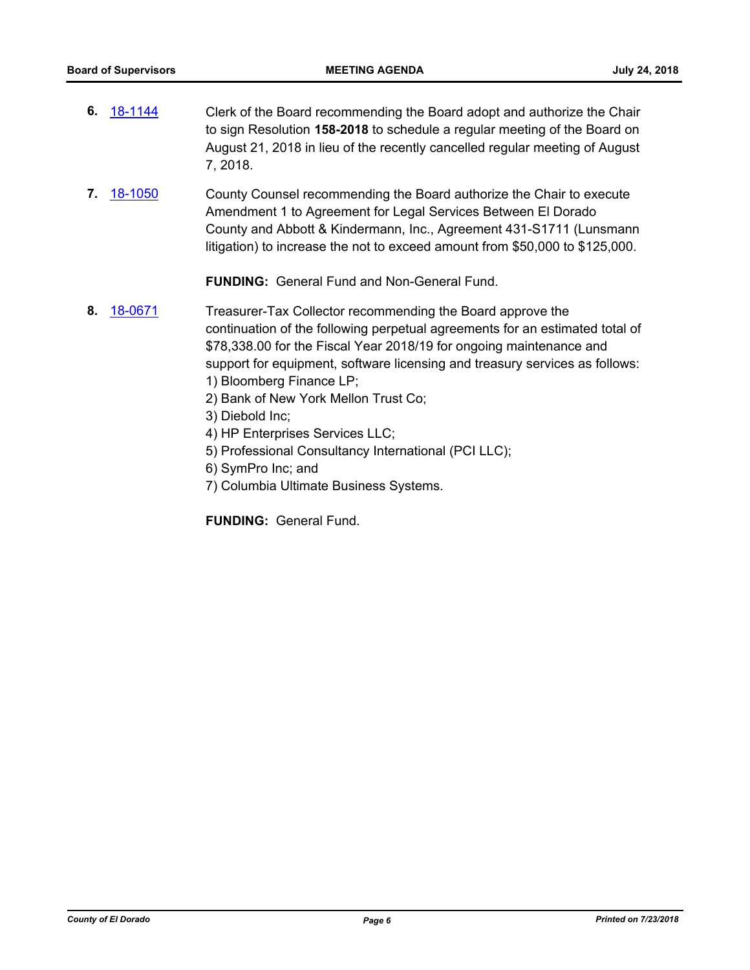- **6.** [18-1144](http://eldorado.legistar.com/gateway.aspx?m=l&id=/matter.aspx?key=24494) Clerk of the Board recommending the Board adopt and authorize the Chair to sign Resolution **158-2018** to schedule a regular meeting of the Board on August 21, 2018 in lieu of the recently cancelled regular meeting of August 7, 2018.
- **7.** [18-1050](http://eldorado.legistar.com/gateway.aspx?m=l&id=/matter.aspx?key=24399) County Counsel recommending the Board authorize the Chair to execute Amendment 1 to Agreement for Legal Services Between El Dorado County and Abbott & Kindermann, Inc., Agreement 431-S1711 (Lunsmann litigation) to increase the not to exceed amount from \$50,000 to \$125,000.

**FUNDING:** General Fund and Non-General Fund.

- **8.** [18-0671](http://eldorado.legistar.com/gateway.aspx?m=l&id=/matter.aspx?key=24016) Treasurer-Tax Collector recommending the Board approve the continuation of the following perpetual agreements for an estimated total of \$78,338.00 for the Fiscal Year 2018/19 for ongoing maintenance and support for equipment, software licensing and treasury services as follows: 1) Bloomberg Finance LP;
	- 2) Bank of New York Mellon Trust Co;
	- 3) Diebold Inc;
	- 4) HP Enterprises Services LLC;
	- 5) Professional Consultancy International (PCI LLC);
	- 6) SymPro Inc; and
	- 7) Columbia Ultimate Business Systems.

**FUNDING:** General Fund.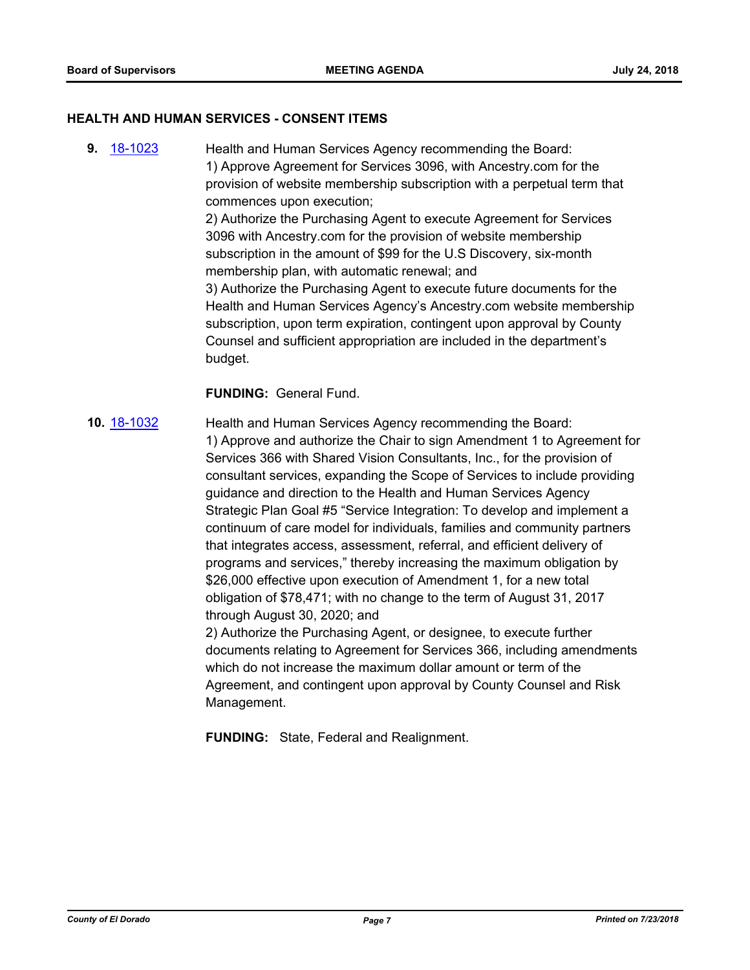#### **HEALTH AND HUMAN SERVICES - CONSENT ITEMS**

**9.** [18-1023](http://eldorado.legistar.com/gateway.aspx?m=l&id=/matter.aspx?key=24372) Health and Human Services Agency recommending the Board: 1) Approve Agreement for Services 3096, with Ancestry.com for the provision of website membership subscription with a perpetual term that commences upon execution; 2) Authorize the Purchasing Agent to execute Agreement for Services 3096 with Ancestry.com for the provision of website membership subscription in the amount of \$99 for the U.S Discovery, six-month membership plan, with automatic renewal; and 3) Authorize the Purchasing Agent to execute future documents for the Health and Human Services Agency's Ancestry.com website membership subscription, upon term expiration, contingent upon approval by County Counsel and sufficient appropriation are included in the department's budget.

#### **FUNDING:** General Fund.

**10.** [18-1032](http://eldorado.legistar.com/gateway.aspx?m=l&id=/matter.aspx?key=24381) Health and Human Services Agency recommending the Board: 1) Approve and authorize the Chair to sign Amendment 1 to Agreement for Services 366 with Shared Vision Consultants, Inc., for the provision of consultant services, expanding the Scope of Services to include providing guidance and direction to the Health and Human Services Agency Strategic Plan Goal #5 "Service Integration: To develop and implement a continuum of care model for individuals, families and community partners that integrates access, assessment, referral, and efficient delivery of programs and services," thereby increasing the maximum obligation by \$26,000 effective upon execution of Amendment 1, for a new total obligation of \$78,471; with no change to the term of August 31, 2017 through August 30, 2020; and 2) Authorize the Purchasing Agent, or designee, to execute further

documents relating to Agreement for Services 366, including amendments which do not increase the maximum dollar amount or term of the Agreement, and contingent upon approval by County Counsel and Risk Management.

**FUNDING:** State, Federal and Realignment.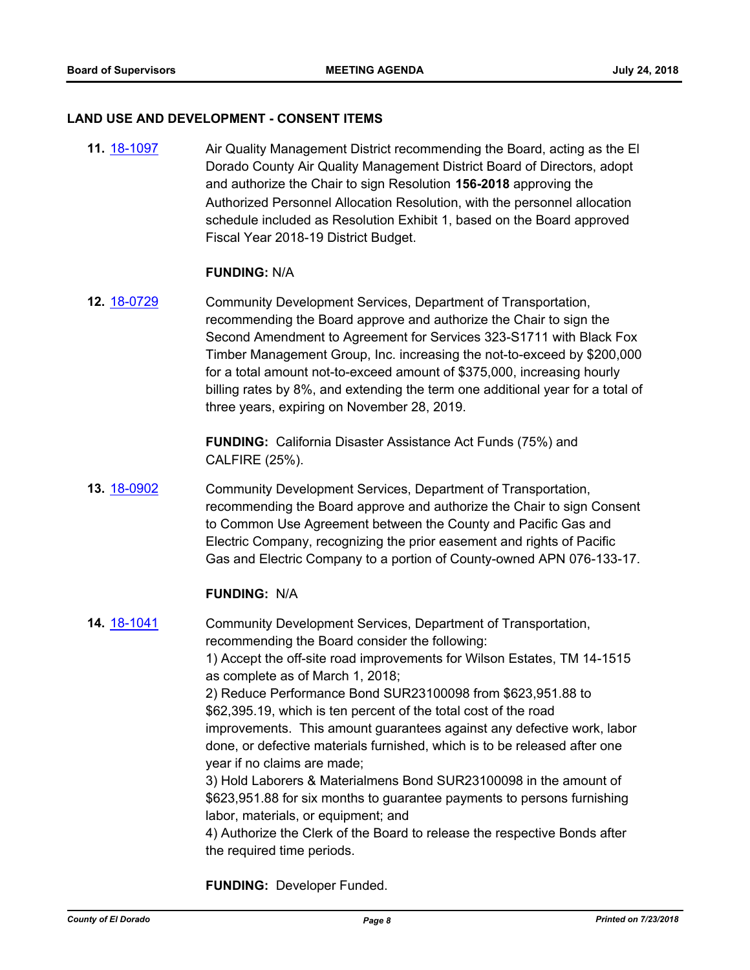#### **LAND USE AND DEVELOPMENT - CONSENT ITEMS**

**11.** [18-1097](http://eldorado.legistar.com/gateway.aspx?m=l&id=/matter.aspx?key=24447) Air Quality Management District recommending the Board, acting as the El Dorado County Air Quality Management District Board of Directors, adopt and authorize the Chair to sign Resolution **156-2018** approving the Authorized Personnel Allocation Resolution, with the personnel allocation schedule included as Resolution Exhibit 1, based on the Board approved Fiscal Year 2018-19 District Budget.

#### **FUNDING:** N/A

**12.** [18-0729](http://eldorado.legistar.com/gateway.aspx?m=l&id=/matter.aspx?key=24076) Community Development Services, Department of Transportation, recommending the Board approve and authorize the Chair to sign the Second Amendment to Agreement for Services 323-S1711 with Black Fox Timber Management Group, Inc. increasing the not-to-exceed by \$200,000 for a total amount not-to-exceed amount of \$375,000, increasing hourly billing rates by 8%, and extending the term one additional year for a total of three years, expiring on November 28, 2019.

> **FUNDING:** California Disaster Assistance Act Funds (75%) and CALFIRE (25%).

**13.** [18-0902](http://eldorado.legistar.com/gateway.aspx?m=l&id=/matter.aspx?key=24250) Community Development Services, Department of Transportation, recommending the Board approve and authorize the Chair to sign Consent to Common Use Agreement between the County and Pacific Gas and Electric Company, recognizing the prior easement and rights of Pacific Gas and Electric Company to a portion of County-owned APN 076-133-17.

#### **FUNDING:** N/A

**14.** [18-1041](http://eldorado.legistar.com/gateway.aspx?m=l&id=/matter.aspx?key=24390) Community Development Services, Department of Transportation, recommending the Board consider the following: 1) Accept the off-site road improvements for Wilson Estates, TM 14-1515 as complete as of March 1, 2018; 2) Reduce Performance Bond SUR23100098 from \$623,951.88 to \$62,395.19, which is ten percent of the total cost of the road improvements. This amount guarantees against any defective work, labor done, or defective materials furnished, which is to be released after one year if no claims are made; 3) Hold Laborers & Materialmens Bond SUR23100098 in the amount of \$623,951.88 for six months to guarantee payments to persons furnishing labor, materials, or equipment; and 4) Authorize the Clerk of the Board to release the respective Bonds after the required time periods.

**FUNDING:** Developer Funded.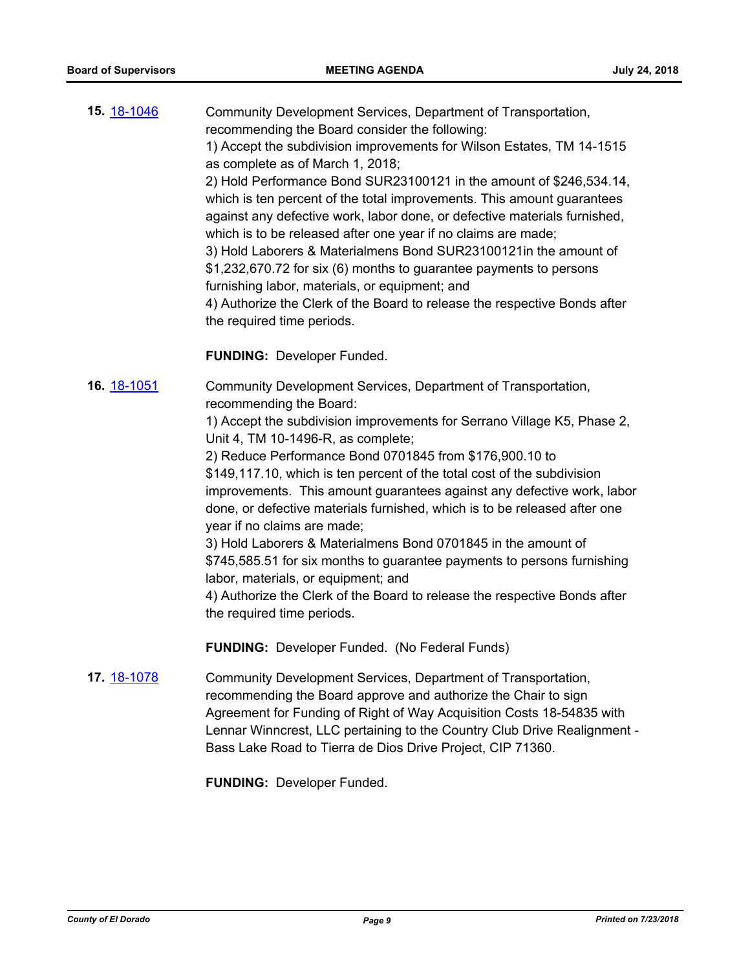| 15. 18-1046 | Community Development Services, Department of Transportation,                                             |
|-------------|-----------------------------------------------------------------------------------------------------------|
|             | recommending the Board consider the following:                                                            |
|             | 1) Accept the subdivision improvements for Wilson Estates, TM 14-1515<br>as complete as of March 1, 2018; |
|             | 2) Hold Performance Bond SUR23100121 in the amount of \$246,534.14,                                       |
|             | which is ten percent of the total improvements. This amount quarantees                                    |
|             | against any defective work, labor done, or defective materials furnished,                                 |
|             | which is to be released after one year if no claims are made;                                             |
|             | 3) Hold Laborers & Materialmens Bond SUR23100121 in the amount of                                         |
|             | \$1,232,670.72 for six (6) months to guarantee payments to persons                                        |
|             | furnishing labor, materials, or equipment; and                                                            |
|             | 4) Authorize the Clerk of the Board to release the respective Bonds after                                 |
|             | the required time periods.                                                                                |
|             |                                                                                                           |
|             | <b>FUNDING: Developer Funded.</b>                                                                         |

**16.** [18-1051](http://eldorado.legistar.com/gateway.aspx?m=l&id=/matter.aspx?key=24400) Community Development Services, Department of Transportation, recommending the Board:

> 1) Accept the subdivision improvements for Serrano Village K5, Phase 2, Unit 4, TM 10-1496-R, as complete;

2) Reduce Performance Bond 0701845 from \$176,900.10 to \$149,117.10, which is ten percent of the total cost of the subdivision improvements. This amount guarantees against any defective work, labor done, or defective materials furnished, which is to be released after one year if no claims are made;

3) Hold Laborers & Materialmens Bond 0701845 in the amount of \$745,585.51 for six months to guarantee payments to persons furnishing labor, materials, or equipment; and

4) Authorize the Clerk of the Board to release the respective Bonds after the required time periods.

**FUNDING:** Developer Funded. (No Federal Funds)

**17.** [18-1078](http://eldorado.legistar.com/gateway.aspx?m=l&id=/matter.aspx?key=24428) Community Development Services, Department of Transportation, recommending the Board approve and authorize the Chair to sign Agreement for Funding of Right of Way Acquisition Costs 18-54835 with Lennar Winncrest, LLC pertaining to the Country Club Drive Realignment - Bass Lake Road to Tierra de Dios Drive Project, CIP 71360.

**FUNDING:** Developer Funded.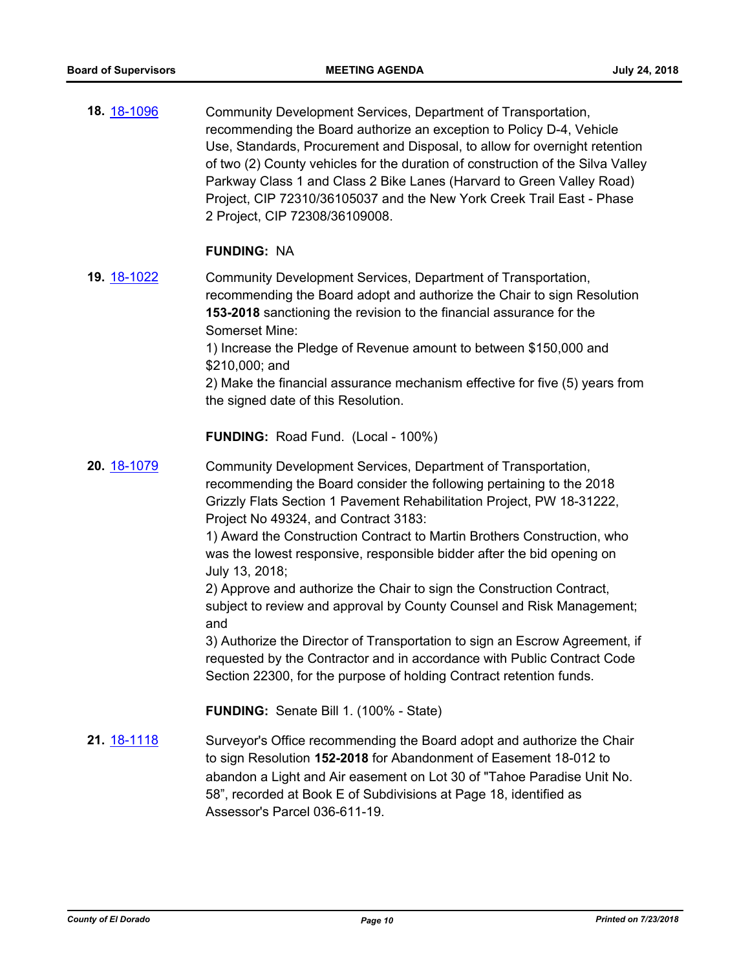**18.** [18-1096](http://eldorado.legistar.com/gateway.aspx?m=l&id=/matter.aspx?key=24446) Community Development Services, Department of Transportation, recommending the Board authorize an exception to Policy D-4, Vehicle Use, Standards, Procurement and Disposal, to allow for overnight retention of two (2) County vehicles for the duration of construction of the Silva Valley Parkway Class 1 and Class 2 Bike Lanes (Harvard to Green Valley Road) Project, CIP 72310/36105037 and the New York Creek Trail East - Phase 2 Project, CIP 72308/36109008.

#### **FUNDING:** NA

**19.** [18-1022](http://eldorado.legistar.com/gateway.aspx?m=l&id=/matter.aspx?key=24371) Community Development Services, Department of Transportation, recommending the Board adopt and authorize the Chair to sign Resolution **153-2018** sanctioning the revision to the financial assurance for the Somerset Mine:

> 1) Increase the Pledge of Revenue amount to between \$150,000 and \$210,000; and

2) Make the financial assurance mechanism effective for five (5) years from the signed date of this Resolution.

**FUNDING:** Road Fund. (Local - 100%)

**20.** [18-1079](http://eldorado.legistar.com/gateway.aspx?m=l&id=/matter.aspx?key=24429) Community Development Services, Department of Transportation, recommending the Board consider the following pertaining to the 2018 Grizzly Flats Section 1 Pavement Rehabilitation Project, PW 18-31222, Project No 49324, and Contract 3183:

> 1) Award the Construction Contract to Martin Brothers Construction, who was the lowest responsive, responsible bidder after the bid opening on July 13, 2018;

2) Approve and authorize the Chair to sign the Construction Contract, subject to review and approval by County Counsel and Risk Management; and

3) Authorize the Director of Transportation to sign an Escrow Agreement, if requested by the Contractor and in accordance with Public Contract Code Section 22300, for the purpose of holding Contract retention funds.

**FUNDING:** Senate Bill 1. (100% - State)

**21.** [18-1118](http://eldorado.legistar.com/gateway.aspx?m=l&id=/matter.aspx?key=24468) Surveyor's Office recommending the Board adopt and authorize the Chair to sign Resolution **152-2018** for Abandonment of Easement 18-012 to abandon a Light and Air easement on Lot 30 of "Tahoe Paradise Unit No. 58", recorded at Book E of Subdivisions at Page 18, identified as Assessor's Parcel 036-611-19.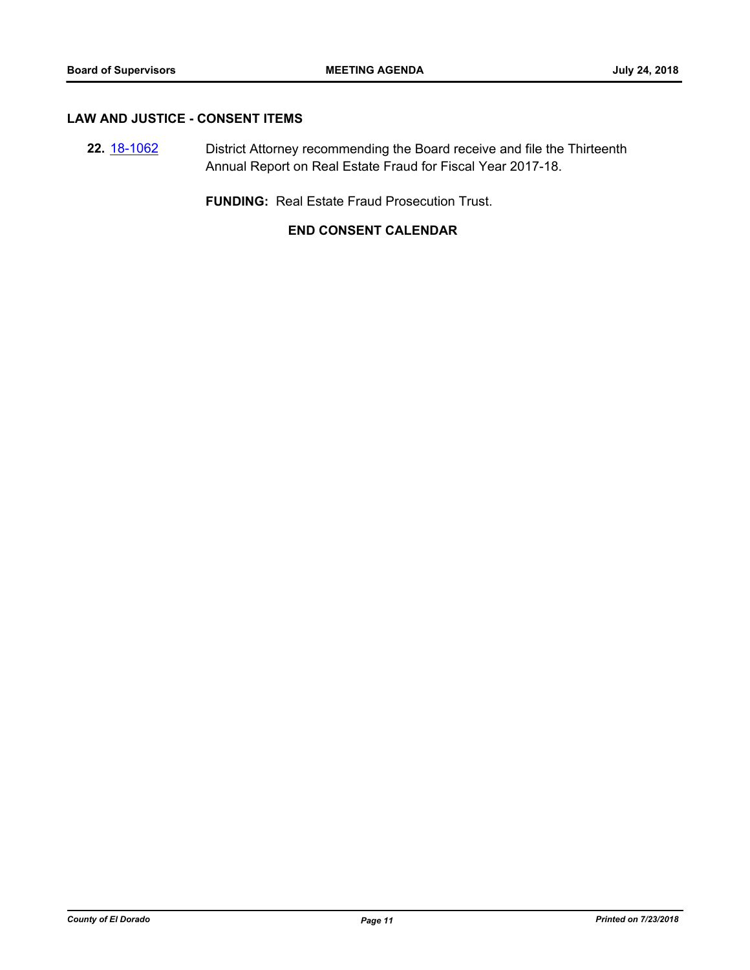#### **LAW AND JUSTICE - CONSENT ITEMS**

**22.** [18-1062](http://eldorado.legistar.com/gateway.aspx?m=l&id=/matter.aspx?key=24412) District Attorney recommending the Board receive and file the Thirteenth Annual Report on Real Estate Fraud for Fiscal Year 2017-18.

**FUNDING:** Real Estate Fraud Prosecution Trust.

## **END CONSENT CALENDAR**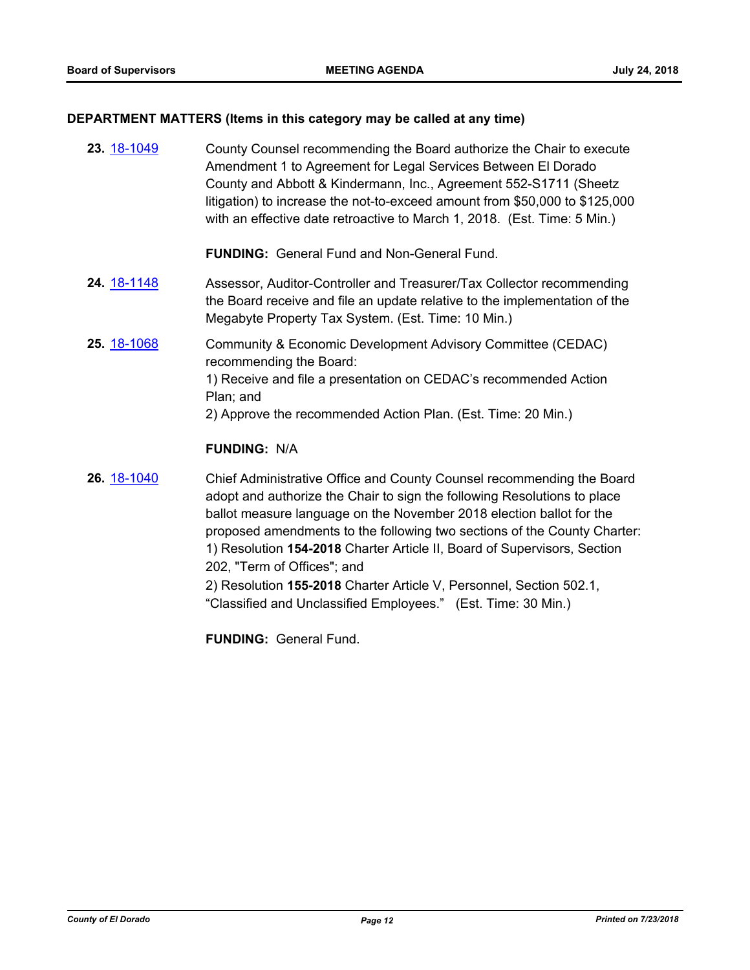## **DEPARTMENT MATTERS (Items in this category may be called at any time)**

| County Counsel recommending the Board authorize the Chair to execute<br>Amendment 1 to Agreement for Legal Services Between El Dorado<br>County and Abbott & Kindermann, Inc., Agreement 552-S1711 (Sheetz<br>litigation) to increase the not-to-exceed amount from \$50,000 to \$125,000<br>with an effective date retroactive to March 1, 2018. (Est. Time: 5 Min.)                                                                                                                                                                                    |
|----------------------------------------------------------------------------------------------------------------------------------------------------------------------------------------------------------------------------------------------------------------------------------------------------------------------------------------------------------------------------------------------------------------------------------------------------------------------------------------------------------------------------------------------------------|
| <b>FUNDING: General Fund and Non-General Fund.</b>                                                                                                                                                                                                                                                                                                                                                                                                                                                                                                       |
| Assessor, Auditor-Controller and Treasurer/Tax Collector recommending<br>the Board receive and file an update relative to the implementation of the<br>Megabyte Property Tax System. (Est. Time: 10 Min.)                                                                                                                                                                                                                                                                                                                                                |
| Community & Economic Development Advisory Committee (CEDAC)<br>recommending the Board:<br>1) Receive and file a presentation on CEDAC's recommended Action<br>Plan; and<br>2) Approve the recommended Action Plan. (Est. Time: 20 Min.)                                                                                                                                                                                                                                                                                                                  |
| <b>FUNDING: N/A</b>                                                                                                                                                                                                                                                                                                                                                                                                                                                                                                                                      |
| Chief Administrative Office and County Counsel recommending the Board<br>adopt and authorize the Chair to sign the following Resolutions to place<br>ballot measure language on the November 2018 election ballot for the<br>proposed amendments to the following two sections of the County Charter:<br>1) Resolution 154-2018 Charter Article II, Board of Supervisors, Section<br>202, "Term of Offices"; and<br>2) Resolution 155-2018 Charter Article V, Personnel, Section 502.1,<br>"Classified and Unclassified Employees." (Est. Time: 30 Min.) |
|                                                                                                                                                                                                                                                                                                                                                                                                                                                                                                                                                          |

**FUNDING:** General Fund.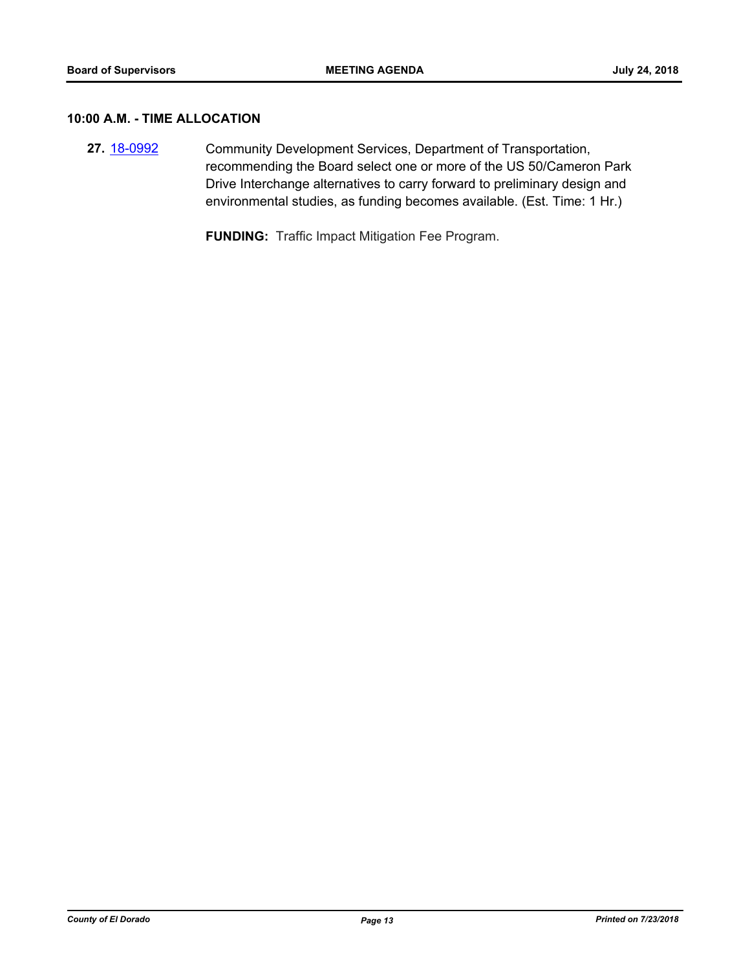#### **10:00 A.M. - TIME ALLOCATION**

**27.** [18-0992](http://eldorado.legistar.com/gateway.aspx?m=l&id=/matter.aspx?key=24341) Community Development Services, Department of Transportation, recommending the Board select one or more of the US 50/Cameron Park Drive Interchange alternatives to carry forward to preliminary design and environmental studies, as funding becomes available. (Est. Time: 1 Hr.)

**FUNDING:** Traffic Impact Mitigation Fee Program.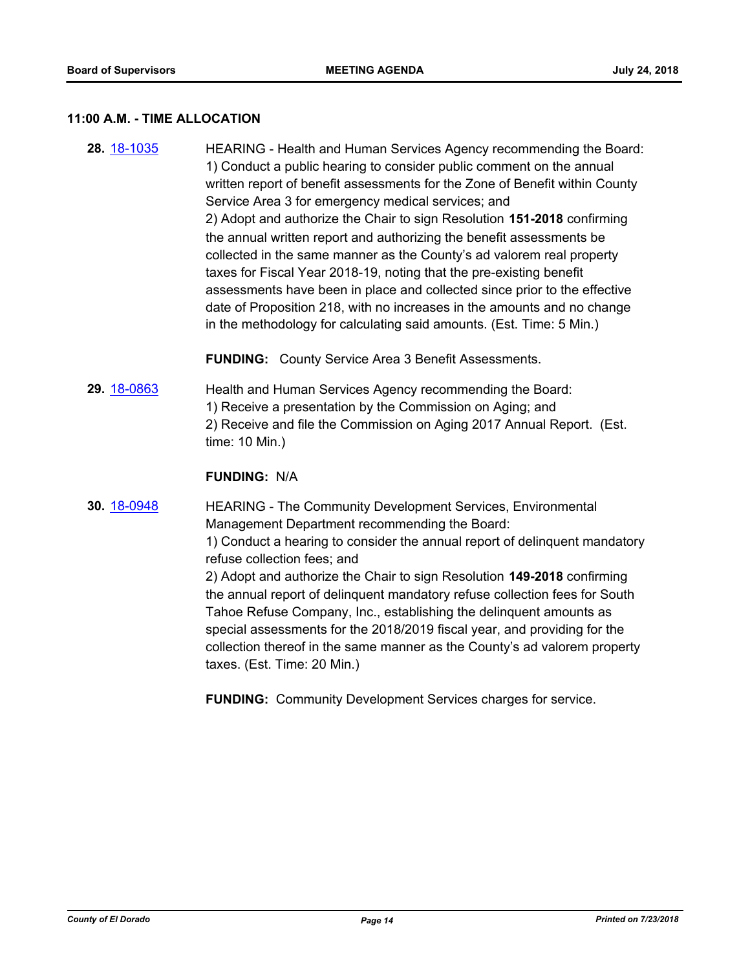#### **11:00 A.M. - TIME ALLOCATION**

**28.** [18-1035](http://eldorado.legistar.com/gateway.aspx?m=l&id=/matter.aspx?key=24384) HEARING - Health and Human Services Agency recommending the Board: 1) Conduct a public hearing to consider public comment on the annual written report of benefit assessments for the Zone of Benefit within County Service Area 3 for emergency medical services; and 2) Adopt and authorize the Chair to sign Resolution **151-2018** confirming the annual written report and authorizing the benefit assessments be collected in the same manner as the County's ad valorem real property taxes for Fiscal Year 2018-19, noting that the pre-existing benefit assessments have been in place and collected since prior to the effective date of Proposition 218, with no increases in the amounts and no change in the methodology for calculating said amounts. (Est. Time: 5 Min.)

**FUNDING:** County Service Area 3 Benefit Assessments.

**29.** [18-0863](http://eldorado.legistar.com/gateway.aspx?m=l&id=/matter.aspx?key=24210) Health and Human Services Agency recommending the Board: 1) Receive a presentation by the Commission on Aging; and 2) Receive and file the Commission on Aging 2017 Annual Report. (Est. time: 10 Min.)

#### **FUNDING:** N/A

**30.** [18-0948](http://eldorado.legistar.com/gateway.aspx?m=l&id=/matter.aspx?key=24296) HEARING - The Community Development Services, Environmental Management Department recommending the Board: 1) Conduct a hearing to consider the annual report of delinquent mandatory refuse collection fees; and 2) Adopt and authorize the Chair to sign Resolution **149-2018** confirming the annual report of delinquent mandatory refuse collection fees for South Tahoe Refuse Company, Inc., establishing the delinquent amounts as special assessments for the 2018/2019 fiscal year, and providing for the collection thereof in the same manner as the County's ad valorem property taxes. (Est. Time: 20 Min.)

**FUNDING:** Community Development Services charges for service.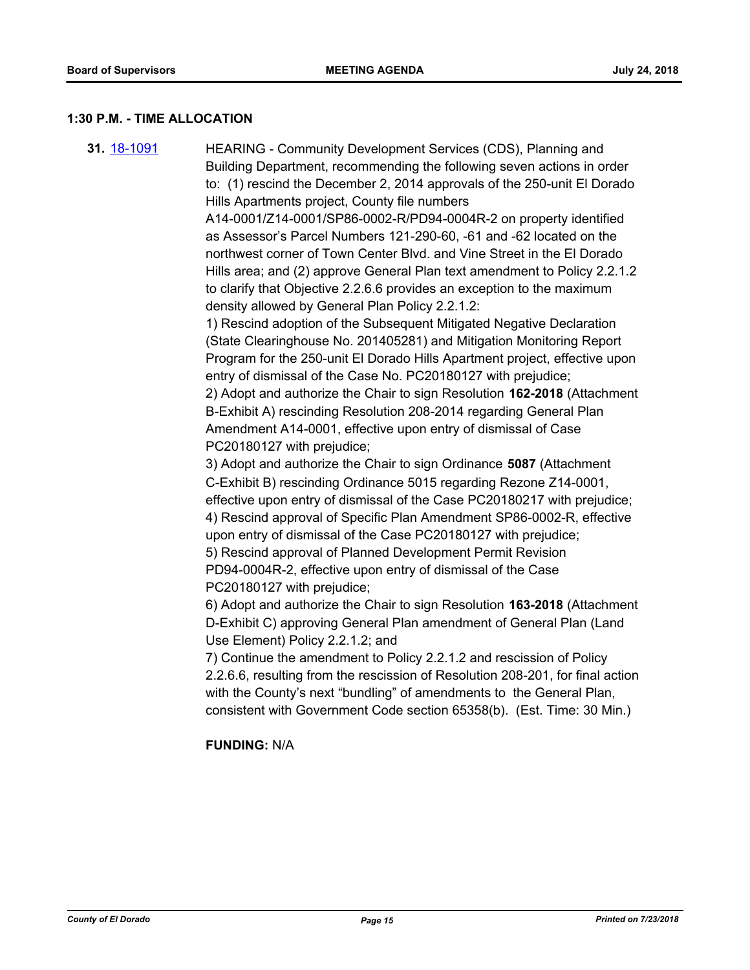#### **1:30 P.M. - TIME ALLOCATION**

**31.** [18-1091](http://eldorado.legistar.com/gateway.aspx?m=l&id=/matter.aspx?key=24441) HEARING - Community Development Services (CDS), Planning and Building Department, recommending the following seven actions in order to: (1) rescind the December 2, 2014 approvals of the 250-unit El Dorado Hills Apartments project, County file numbers A14-0001/Z14-0001/SP86-0002-R/PD94-0004R-2 on property identified as Assessor's Parcel Numbers 121-290-60, -61 and -62 located on the northwest corner of Town Center Blvd. and Vine Street in the El Dorado Hills area; and (2) approve General Plan text amendment to Policy 2.2.1.2 to clarify that Objective 2.2.6.6 provides an exception to the maximum density allowed by General Plan Policy 2.2.1.2: 1) Rescind adoption of the Subsequent Mitigated Negative Declaration (State Clearinghouse No. 201405281) and Mitigation Monitoring Report Program for the 250-unit El Dorado Hills Apartment project, effective upon entry of dismissal of the Case No. PC20180127 with prejudice; 2) Adopt and authorize the Chair to sign Resolution **162-2018** (Attachment B-Exhibit A) rescinding Resolution 208-2014 regarding General Plan Amendment A14-0001, effective upon entry of dismissal of Case PC20180127 with prejudice; 3) Adopt and authorize the Chair to sign Ordinance **5087** (Attachment C-Exhibit B) rescinding Ordinance 5015 regarding Rezone Z14-0001, effective upon entry of dismissal of the Case PC20180217 with prejudice; 4) Rescind approval of Specific Plan Amendment SP86-0002-R, effective upon entry of dismissal of the Case PC20180127 with prejudice; 5) Rescind approval of Planned Development Permit Revision PD94-0004R-2, effective upon entry of dismissal of the Case PC20180127 with prejudice; 6) Adopt and authorize the Chair to sign Resolution **163-2018** (Attachment D-Exhibit C) approving General Plan amendment of General Plan (Land Use Element) Policy 2.2.1.2; and 7) Continue the amendment to Policy 2.2.1.2 and rescission of Policy 2.2.6.6, resulting from the rescission of Resolution 208-201, for final action with the County's next "bundling" of amendments to the General Plan, consistent with Government Code section 65358(b). (Est. Time: 30 Min.)

**FUNDING:** N/A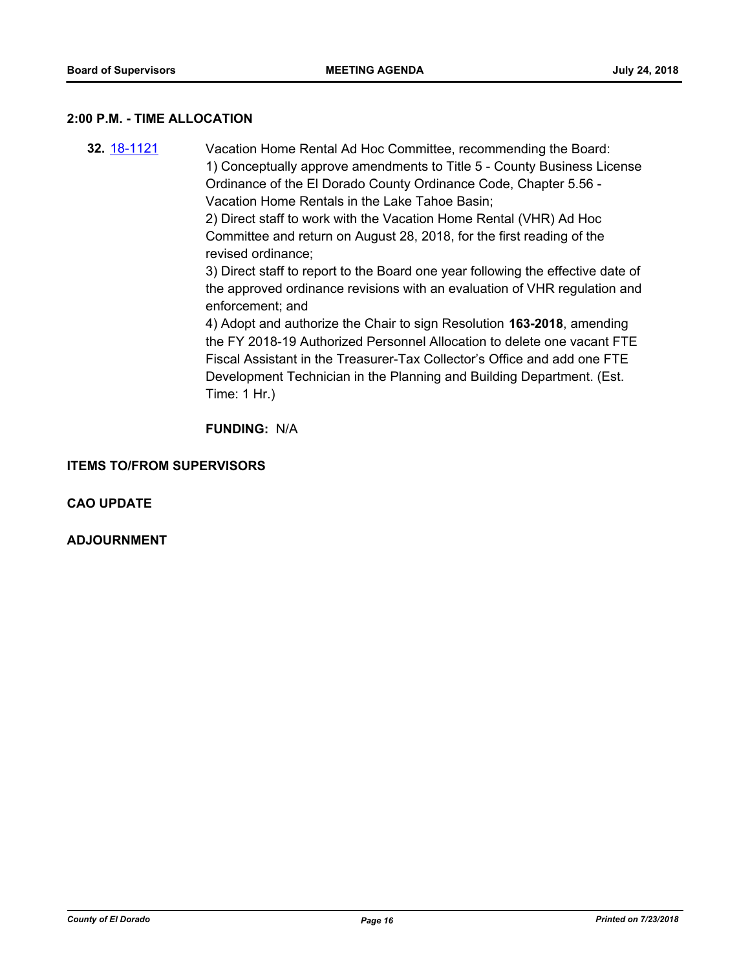#### **2:00 P.M. - TIME ALLOCATION**

**32.** [18-1121](http://eldorado.legistar.com/gateway.aspx?m=l&id=/matter.aspx?key=24471) Vacation Home Rental Ad Hoc Committee, recommending the Board: 1) Conceptually approve amendments to Title 5 - County Business License Ordinance of the El Dorado County Ordinance Code, Chapter 5.56 - Vacation Home Rentals in the Lake Tahoe Basin; 2) Direct staff to work with the Vacation Home Rental (VHR) Ad Hoc Committee and return on August 28, 2018, for the first reading of the revised ordinance; 3) Direct staff to report to the Board one year following the effective date of the approved ordinance revisions with an evaluation of VHR regulation and enforcement; and 4) Adopt and authorize the Chair to sign Resolution **163-2018**, amending the FY 2018-19 Authorized Personnel Allocation to delete one vacant FTE Fiscal Assistant in the Treasurer-Tax Collector's Office and add one FTE Development Technician in the Planning and Building Department. (Est. Time: 1 Hr.)

**FUNDING:** N/A

#### **ITEMS TO/FROM SUPERVISORS**

**CAO UPDATE**

**ADJOURNMENT**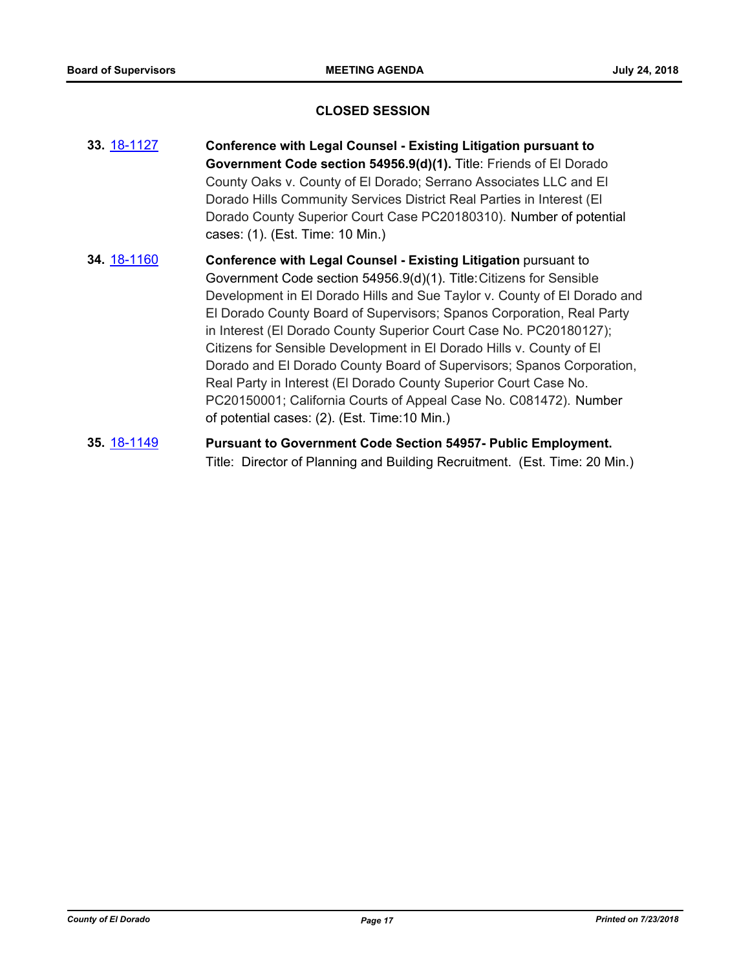#### **CLOSED SESSION**

- **33.** [18-1127](http://eldorado.legistar.com/gateway.aspx?m=l&id=/matter.aspx?key=24477) **Conference with Legal Counsel Existing Litigation pursuant to Government Code section 54956.9(d)(1).** Title: Friends of El Dorado County Oaks v. County of El Dorado; Serrano Associates LLC and El Dorado Hills Community Services District Real Parties in Interest (El Dorado County Superior Court Case PC20180310). Number of potential cases: (1). (Est. Time: 10 Min.)
- **34.** [18-1160](http://eldorado.legistar.com/gateway.aspx?m=l&id=/matter.aspx?key=24510) **Conference with Legal Counsel - Existing Litigation** pursuant to Government Code section 54956.9(d)(1). Title:Citizens for Sensible Development in El Dorado Hills and Sue Taylor v. County of El Dorado and El Dorado County Board of Supervisors; Spanos Corporation, Real Party in Interest (El Dorado County Superior Court Case No. PC20180127); Citizens for Sensible Development in El Dorado Hills v. County of El Dorado and El Dorado County Board of Supervisors; Spanos Corporation, Real Party in Interest (El Dorado County Superior Court Case No. PC20150001; California Courts of Appeal Case No. C081472). Number of potential cases: (2). (Est. Time:10 Min.)
- **35.** [18-1149](http://eldorado.legistar.com/gateway.aspx?m=l&id=/matter.aspx?key=24499) **Pursuant to Government Code Section 54957- Public Employment.** Title: Director of Planning and Building Recruitment. (Est. Time: 20 Min.)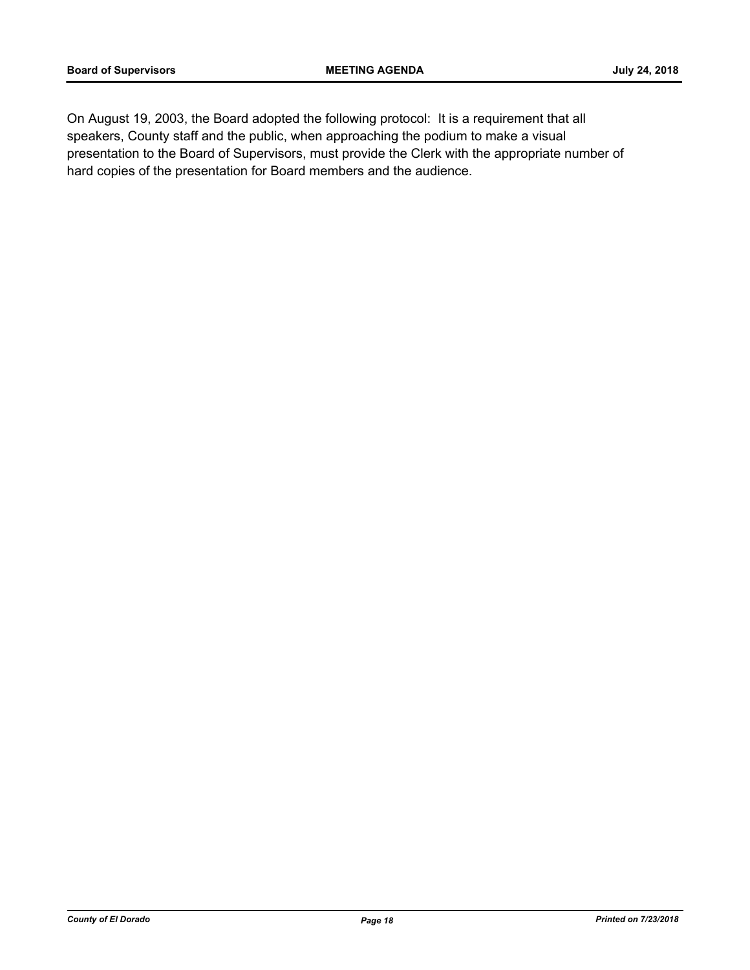On August 19, 2003, the Board adopted the following protocol: It is a requirement that all speakers, County staff and the public, when approaching the podium to make a visual presentation to the Board of Supervisors, must provide the Clerk with the appropriate number of hard copies of the presentation for Board members and the audience.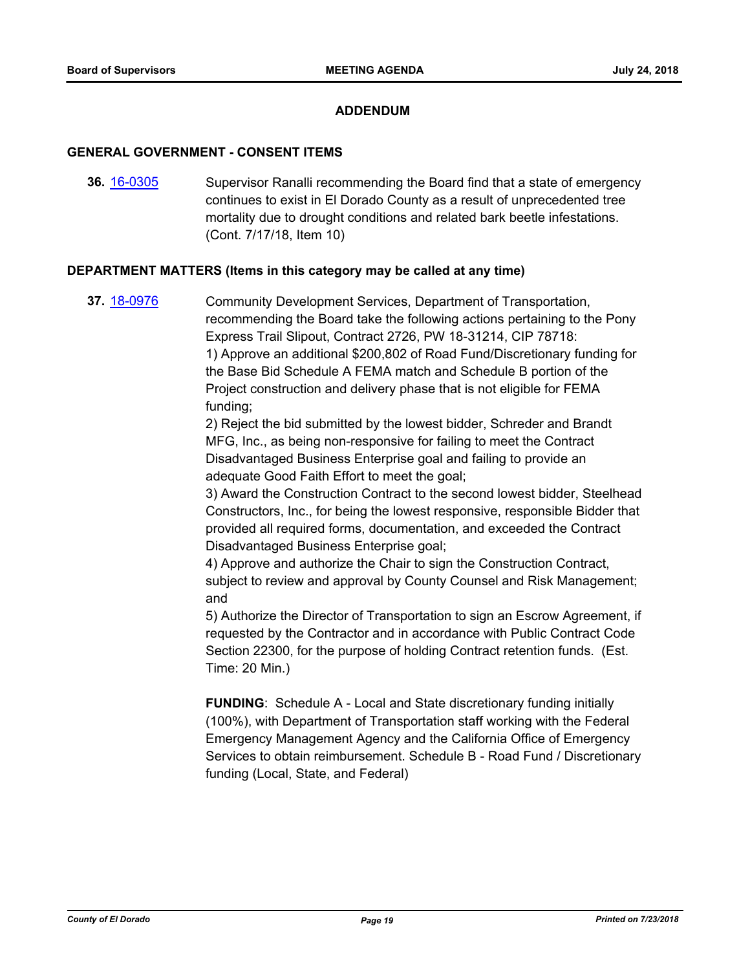#### **ADDENDUM**

#### **GENERAL GOVERNMENT - CONSENT ITEMS**

**36.** [16-0305](http://eldorado.legistar.com/gateway.aspx?m=l&id=/matter.aspx?key=20961) Supervisor Ranalli recommending the Board find that a state of emergency continues to exist in El Dorado County as a result of unprecedented tree mortality due to drought conditions and related bark beetle infestations. (Cont. 7/17/18, Item 10)

#### **DEPARTMENT MATTERS (Items in this category may be called at any time)**

**37.** [18-0976](http://eldorado.legistar.com/gateway.aspx?m=l&id=/matter.aspx?key=24324) Community Development Services, Department of Transportation, recommending the Board take the following actions pertaining to the Pony Express Trail Slipout, Contract 2726, PW 18-31214, CIP 78718: 1) Approve an additional \$200,802 of Road Fund/Discretionary funding for the Base Bid Schedule A FEMA match and Schedule B portion of the Project construction and delivery phase that is not eligible for FEMA funding;

> 2) Reject the bid submitted by the lowest bidder, Schreder and Brandt MFG, Inc., as being non-responsive for failing to meet the Contract Disadvantaged Business Enterprise goal and failing to provide an adequate Good Faith Effort to meet the goal;

3) Award the Construction Contract to the second lowest bidder, Steelhead Constructors, Inc., for being the lowest responsive, responsible Bidder that provided all required forms, documentation, and exceeded the Contract Disadvantaged Business Enterprise goal;

4) Approve and authorize the Chair to sign the Construction Contract, subject to review and approval by County Counsel and Risk Management; and

5) Authorize the Director of Transportation to sign an Escrow Agreement, if requested by the Contractor and in accordance with Public Contract Code Section 22300, for the purpose of holding Contract retention funds. (Est. Time: 20 Min.)

**FUNDING**: Schedule A - Local and State discretionary funding initially (100%), with Department of Transportation staff working with the Federal Emergency Management Agency and the California Office of Emergency Services to obtain reimbursement. Schedule B - Road Fund / Discretionary funding (Local, State, and Federal)